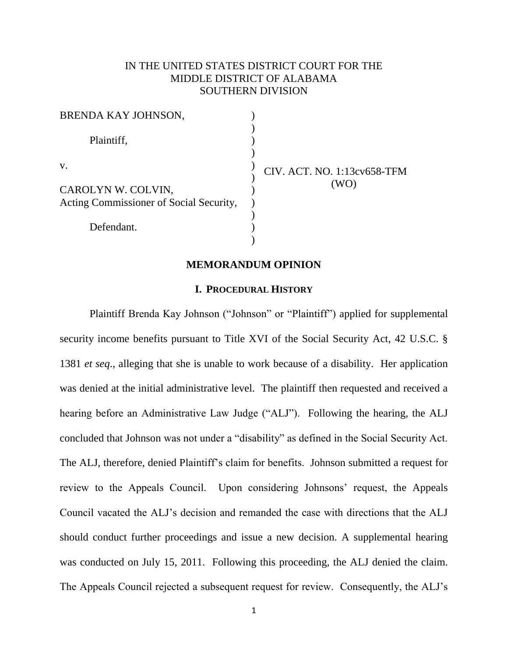# IN THE UNITED STATES DISTRICT COURT FOR THE MIDDLE DISTRICT OF ALABAMA SOUTHERN DIVISION

| BRENDA KAY JOHNSON,                     |                             |
|-----------------------------------------|-----------------------------|
| Plaintiff,                              |                             |
| V.                                      | CIV. ACT. NO. 1:13cv658-TFM |
| CAROLYN W. COLVIN,                      |                             |
| Acting Commissioner of Social Security, |                             |
| Defendant.                              |                             |
|                                         |                             |

#### **MEMORANDUM OPINION**

#### **I. PROCEDURAL HISTORY**

Plaintiff Brenda Kay Johnson ("Johnson" or "Plaintiff") applied for supplemental security income benefits pursuant to Title XVI of the Social Security Act, 42 U.S.C. § 1381 *et seq*., alleging that she is unable to work because of a disability. Her application was denied at the initial administrative level. The plaintiff then requested and received a hearing before an Administrative Law Judge ("ALJ"). Following the hearing, the ALJ concluded that Johnson was not under a "disability" as defined in the Social Security Act. The ALJ, therefore, denied Plaintiff's claim for benefits. Johnson submitted a request for review to the Appeals Council. Upon considering Johnsons' request, the Appeals Council vacated the ALJ's decision and remanded the case with directions that the ALJ should conduct further proceedings and issue a new decision. A supplemental hearing was conducted on July 15, 2011. Following this proceeding, the ALJ denied the claim. The Appeals Council rejected a subsequent request for review. Consequently, the ALJ's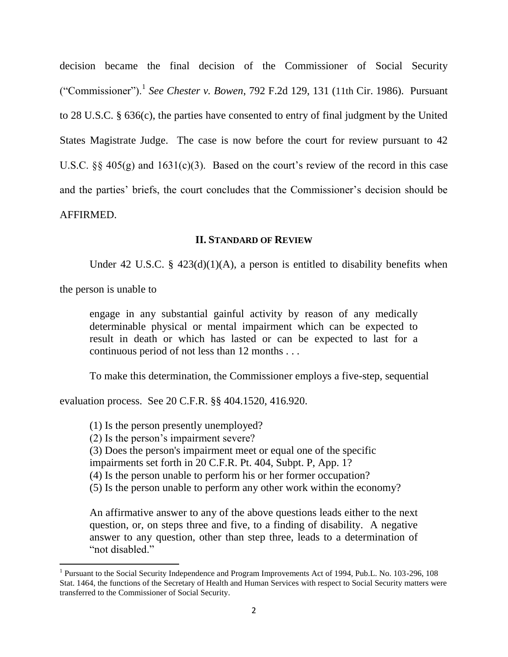decision became the final decision of the Commissioner of Social Security ("Commissioner").<sup>1</sup> *See Chester v. Bowen*, 792 F.2d 129, 131 (11th Cir. 1986). Pursuant to 28 U.S.C. § 636(c), the parties have consented to entry of final judgment by the United States Magistrate Judge. The case is now before the court for review pursuant to 42 U.S.C.  $\S$  405(g) and 1631(c)(3). Based on the court's review of the record in this case and the parties' briefs, the court concludes that the Commissioner's decision should be AFFIRMED.

#### **II. STANDARD OF REVIEW**

Under 42 U.S.C. §  $423(d)(1)(A)$ , a person is entitled to disability benefits when

the person is unable to

 $\overline{\phantom{a}}$ 

engage in any substantial gainful activity by reason of any medically determinable physical or mental impairment which can be expected to result in death or which has lasted or can be expected to last for a continuous period of not less than 12 months . . .

To make this determination, the Commissioner employs a five-step, sequential

evaluation process. See 20 C.F.R. §§ 404.1520, 416.920.

(1) Is the person presently unemployed?

(2) Is the person's impairment severe?

(3) Does the person's impairment meet or equal one of the specific

impairments set forth in 20 C.F.R. Pt. 404, Subpt. P, App. 1?

(4) Is the person unable to perform his or her former occupation?

(5) Is the person unable to perform any other work within the economy?

An affirmative answer to any of the above questions leads either to the next question, or, on steps three and five, to a finding of disability. A negative answer to any question, other than step three, leads to a determination of "not disabled."

<sup>&</sup>lt;sup>1</sup> Pursuant to the Social Security Independence and Program Improvements Act of 1994, Pub.L. No. 103-296, 108 Stat. 1464, the functions of the Secretary of Health and Human Services with respect to Social Security matters were transferred to the Commissioner of Social Security.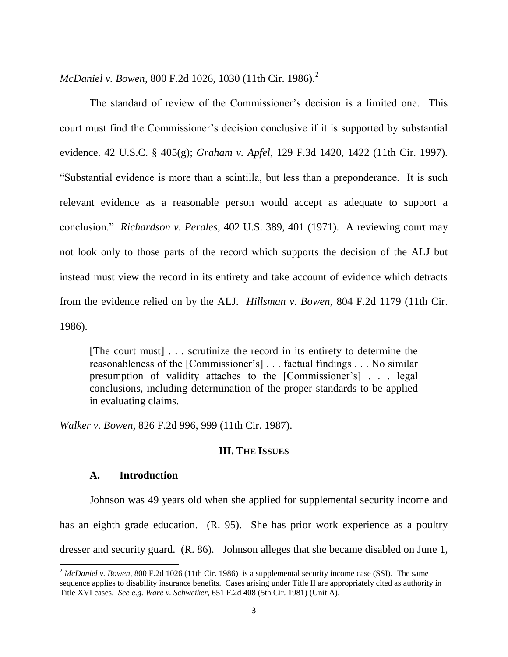*McDaniel v. Bowen*, 800 F.2d 1026, 1030 (11th Cir. 1986).<sup>2</sup>

The standard of review of the Commissioner's decision is a limited one. This court must find the Commissioner's decision conclusive if it is supported by substantial evidence. 42 U.S.C. § 405(g); *Graham v. Apfel*, 129 F.3d 1420, 1422 (11th Cir. 1997). "Substantial evidence is more than a scintilla, but less than a preponderance. It is such relevant evidence as a reasonable person would accept as adequate to support a conclusion." *Richardson v. Perales*, 402 U.S. 389, 401 (1971). A reviewing court may not look only to those parts of the record which supports the decision of the ALJ but instead must view the record in its entirety and take account of evidence which detracts from the evidence relied on by the ALJ. *Hillsman v. Bowen*, 804 F.2d 1179 (11th Cir. 1986).

[The court must] . . . scrutinize the record in its entirety to determine the reasonableness of the [Commissioner's] . . . factual findings . . . No similar presumption of validity attaches to the [Commissioner's] . . . legal conclusions, including determination of the proper standards to be applied in evaluating claims.

*Walker v. Bowen*, 826 F.2d 996, 999 (11th Cir. 1987).

## **III. THE ISSUES**

## **A. Introduction**

 $\overline{\phantom{a}}$ 

Johnson was 49 years old when she applied for supplemental security income and has an eighth grade education. (R. 95). She has prior work experience as a poultry dresser and security guard. (R. 86). Johnson alleges that she became disabled on June 1,

<sup>&</sup>lt;sup>2</sup> *McDaniel v. Bowen*, 800 F.2d 1026 (11th Cir. 1986) is a supplemental security income case (SSI). The same sequence applies to disability insurance benefits. Cases arising under Title II are appropriately cited as authority in Title XVI cases. *See e.g. Ware v. Schweiker*, 651 F.2d 408 (5th Cir. 1981) (Unit A).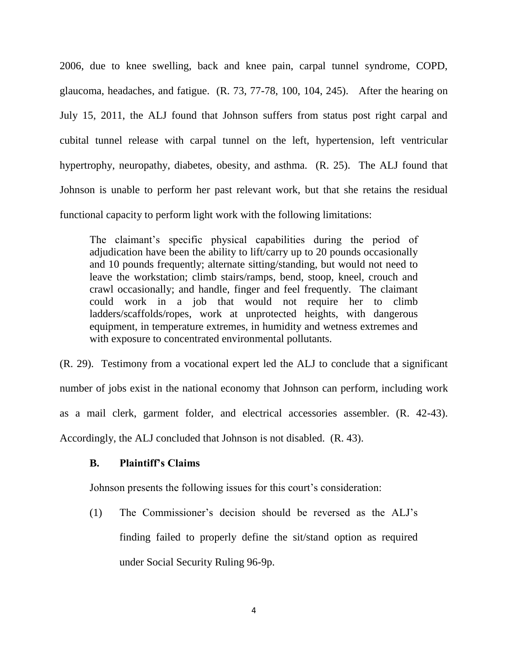2006, due to knee swelling, back and knee pain, carpal tunnel syndrome, COPD, glaucoma, headaches, and fatigue. (R. 73, 77-78, 100, 104, 245). After the hearing on July 15, 2011, the ALJ found that Johnson suffers from status post right carpal and cubital tunnel release with carpal tunnel on the left, hypertension, left ventricular hypertrophy, neuropathy, diabetes, obesity, and asthma. (R. 25). The ALJ found that Johnson is unable to perform her past relevant work, but that she retains the residual functional capacity to perform light work with the following limitations:

The claimant's specific physical capabilities during the period of adjudication have been the ability to lift/carry up to 20 pounds occasionally and 10 pounds frequently; alternate sitting/standing, but would not need to leave the workstation; climb stairs/ramps, bend, stoop, kneel, crouch and crawl occasionally; and handle, finger and feel frequently. The claimant could work in a job that would not require her to climb ladders/scaffolds/ropes, work at unprotected heights, with dangerous equipment, in temperature extremes, in humidity and wetness extremes and with exposure to concentrated environmental pollutants.

(R. 29). Testimony from a vocational expert led the ALJ to conclude that a significant number of jobs exist in the national economy that Johnson can perform, including work as a mail clerk, garment folder, and electrical accessories assembler. (R. 42-43). Accordingly, the ALJ concluded that Johnson is not disabled. (R. 43).

## **B. Plaintiff's Claims**

Johnson presents the following issues for this court's consideration:

(1) The Commissioner's decision should be reversed as the ALJ's finding failed to properly define the sit/stand option as required under Social Security Ruling 96-9p.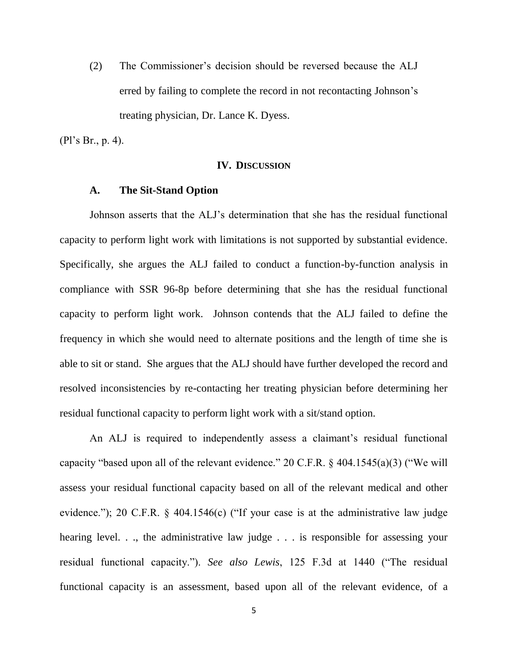(2) The Commissioner's decision should be reversed because the ALJ erred by failing to complete the record in not recontacting Johnson's treating physician, Dr. Lance K. Dyess.

(Pl's Br., p. 4).

#### **IV. DISCUSSION**

#### **A. The Sit-Stand Option**

Johnson asserts that the ALJ's determination that she has the residual functional capacity to perform light work with limitations is not supported by substantial evidence. Specifically, she argues the ALJ failed to conduct a function-by-function analysis in compliance with SSR 96-8p before determining that she has the residual functional capacity to perform light work. Johnson contends that the ALJ failed to define the frequency in which she would need to alternate positions and the length of time she is able to sit or stand. She argues that the ALJ should have further developed the record and resolved inconsistencies by re-contacting her treating physician before determining her residual functional capacity to perform light work with a sit/stand option.

An ALJ is required to independently assess a claimant's residual functional capacity "based upon all of the relevant evidence." 20 C.F.R. § 404.1545(a)(3) ("We will assess your residual functional capacity based on all of the relevant medical and other evidence."); 20 C.F.R. § 404.1546(c) ("If your case is at the administrative law judge hearing level. . ., the administrative law judge . . . is responsible for assessing your residual functional capacity."). *See also Lewis*, 125 F.3d at 1440 ("The residual functional capacity is an assessment, based upon all of the relevant evidence, of a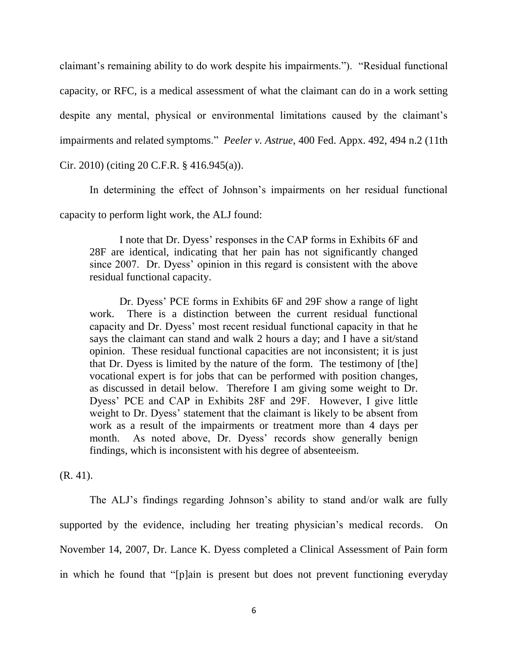claimant's remaining ability to do work despite his impairments."). "Residual functional capacity, or RFC, is a medical assessment of what the claimant can do in a work setting despite any mental, physical or environmental limitations caused by the claimant's impairments and related symptoms." *Peeler v. Astrue*, 400 Fed. Appx. 492, 494 n.2 (11th

# Cir. 2010) (citing 20 C.F.R. § 416.945(a)).

In determining the effect of Johnson's impairments on her residual functional capacity to perform light work, the ALJ found:

I note that Dr. Dyess' responses in the CAP forms in Exhibits 6F and 28F are identical, indicating that her pain has not significantly changed since 2007. Dr. Dyess' opinion in this regard is consistent with the above residual functional capacity.

Dr. Dyess' PCE forms in Exhibits 6F and 29F show a range of light work. There is a distinction between the current residual functional capacity and Dr. Dyess' most recent residual functional capacity in that he says the claimant can stand and walk 2 hours a day; and I have a sit/stand opinion. These residual functional capacities are not inconsistent; it is just that Dr. Dyess is limited by the nature of the form. The testimony of [the] vocational expert is for jobs that can be performed with position changes, as discussed in detail below. Therefore I am giving some weight to Dr. Dyess' PCE and CAP in Exhibits 28F and 29F. However, I give little weight to Dr. Dyess' statement that the claimant is likely to be absent from work as a result of the impairments or treatment more than 4 days per month. As noted above, Dr. Dyess' records show generally benign findings, which is inconsistent with his degree of absenteeism.

(R. 41).

The ALJ's findings regarding Johnson's ability to stand and/or walk are fully supported by the evidence, including her treating physician's medical records. On November 14, 2007, Dr. Lance K. Dyess completed a Clinical Assessment of Pain form in which he found that "[p]ain is present but does not prevent functioning everyday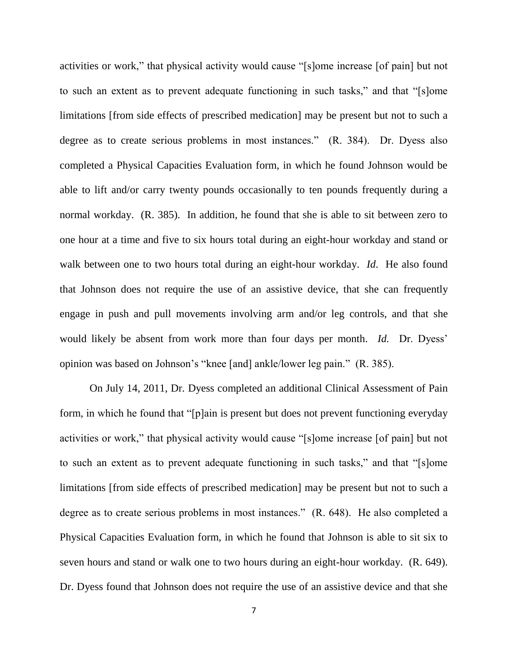activities or work," that physical activity would cause "[s]ome increase [of pain] but not to such an extent as to prevent adequate functioning in such tasks," and that "[s]ome limitations [from side effects of prescribed medication] may be present but not to such a degree as to create serious problems in most instances." (R. 384). Dr. Dyess also completed a Physical Capacities Evaluation form, in which he found Johnson would be able to lift and/or carry twenty pounds occasionally to ten pounds frequently during a normal workday. (R. 385). In addition, he found that she is able to sit between zero to one hour at a time and five to six hours total during an eight-hour workday and stand or walk between one to two hours total during an eight-hour workday. *Id*. He also found that Johnson does not require the use of an assistive device, that she can frequently engage in push and pull movements involving arm and/or leg controls, and that she would likely be absent from work more than four days per month. *Id.* Dr. Dyess' opinion was based on Johnson's "knee [and] ankle/lower leg pain." (R. 385).

On July 14, 2011, Dr. Dyess completed an additional Clinical Assessment of Pain form, in which he found that "[p]ain is present but does not prevent functioning everyday activities or work," that physical activity would cause "[s]ome increase [of pain] but not to such an extent as to prevent adequate functioning in such tasks," and that "[s]ome limitations [from side effects of prescribed medication] may be present but not to such a degree as to create serious problems in most instances." (R. 648). He also completed a Physical Capacities Evaluation form, in which he found that Johnson is able to sit six to seven hours and stand or walk one to two hours during an eight-hour workday. (R. 649). Dr. Dyess found that Johnson does not require the use of an assistive device and that she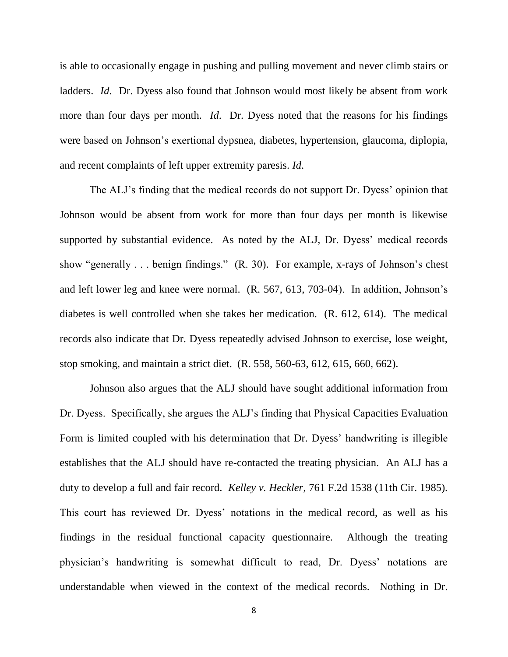is able to occasionally engage in pushing and pulling movement and never climb stairs or ladders. *Id*. Dr. Dyess also found that Johnson would most likely be absent from work more than four days per month. *Id*. Dr. Dyess noted that the reasons for his findings were based on Johnson's exertional dypsnea, diabetes, hypertension, glaucoma, diplopia, and recent complaints of left upper extremity paresis. *Id*.

The ALJ's finding that the medical records do not support Dr. Dyess' opinion that Johnson would be absent from work for more than four days per month is likewise supported by substantial evidence. As noted by the ALJ, Dr. Dyess' medical records show "generally . . . benign findings." (R. 30). For example, x-rays of Johnson's chest and left lower leg and knee were normal. (R. 567, 613, 703-04). In addition, Johnson's diabetes is well controlled when she takes her medication. (R. 612, 614). The medical records also indicate that Dr. Dyess repeatedly advised Johnson to exercise, lose weight, stop smoking, and maintain a strict diet. (R. 558, 560-63, 612, 615, 660, 662).

Johnson also argues that the ALJ should have sought additional information from Dr. Dyess. Specifically, she argues the ALJ's finding that Physical Capacities Evaluation Form is limited coupled with his determination that Dr. Dyess' handwriting is illegible establishes that the ALJ should have re-contacted the treating physician. An ALJ has a duty to develop a full and fair record. *Kelley v. Heckler*, 761 F.2d 1538 (11th Cir. 1985). This court has reviewed Dr. Dyess' notations in the medical record, as well as his findings in the residual functional capacity questionnaire. Although the treating physician's handwriting is somewhat difficult to read, Dr. Dyess' notations are understandable when viewed in the context of the medical records. Nothing in Dr.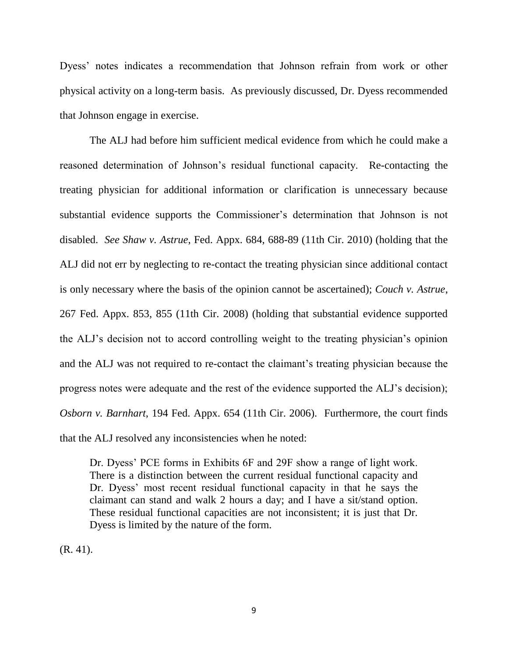Dyess' notes indicates a recommendation that Johnson refrain from work or other physical activity on a long-term basis. As previously discussed, Dr. Dyess recommended that Johnson engage in exercise.

The ALJ had before him sufficient medical evidence from which he could make a reasoned determination of Johnson's residual functional capacity. Re-contacting the treating physician for additional information or clarification is unnecessary because substantial evidence supports the Commissioner's determination that Johnson is not disabled. *See Shaw v. Astrue*, Fed. Appx. 684, 688-89 (11th Cir. 2010) (holding that the ALJ did not err by neglecting to re-contact the treating physician since additional contact is only necessary where the basis of the opinion cannot be ascertained); *Couch v. Astrue*, 267 Fed. Appx. 853, 855 (11th Cir. 2008) (holding that substantial evidence supported the ALJ's decision not to accord controlling weight to the treating physician's opinion and the ALJ was not required to re-contact the claimant's treating physician because the progress notes were adequate and the rest of the evidence supported the ALJ's decision); *Osborn v. Barnhart*, 194 Fed. Appx. 654 (11th Cir. 2006). Furthermore, the court finds that the ALJ resolved any inconsistencies when he noted:

Dr. Dyess' PCE forms in Exhibits 6F and 29F show a range of light work. There is a distinction between the current residual functional capacity and Dr. Dyess' most recent residual functional capacity in that he says the claimant can stand and walk 2 hours a day; and I have a sit/stand option. These residual functional capacities are not inconsistent; it is just that Dr. Dyess is limited by the nature of the form.

(R. 41).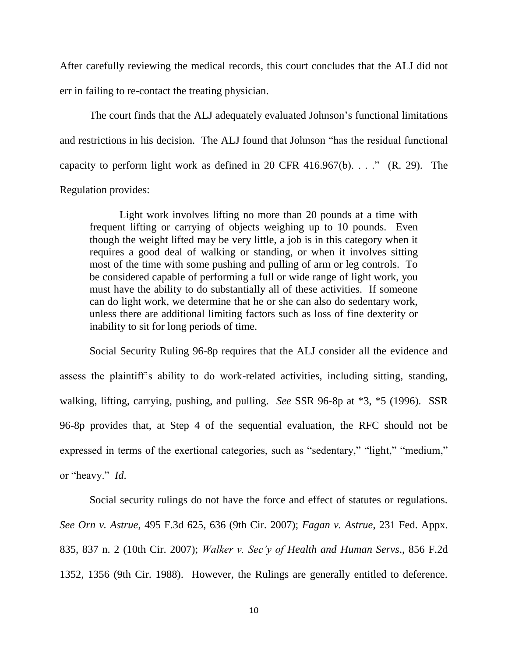After carefully reviewing the medical records, this court concludes that the ALJ did not err in failing to re-contact the treating physician.

The court finds that the ALJ adequately evaluated Johnson's functional limitations and restrictions in his decision. The ALJ found that Johnson "has the residual functional capacity to perform light work as defined in 20 CFR  $416.967(b)$ . . . ." (R. 29). The Regulation provides:

Light work involves lifting no more than 20 pounds at a time with frequent lifting or carrying of objects weighing up to 10 pounds. Even though the weight lifted may be very little, a job is in this category when it requires a good deal of walking or standing, or when it involves sitting most of the time with some pushing and pulling of arm or leg controls. To be considered capable of performing a full or wide range of light work, you must have the ability to do substantially all of these activities. If someone can do light work, we determine that he or she can also do sedentary work, unless there are additional limiting factors such as loss of fine dexterity or inability to sit for long periods of time.

Social Security Ruling 96-8p requires that the ALJ consider all the evidence and assess the plaintiff's ability to do work-related activities, including sitting, standing, walking, lifting, carrying, pushing, and pulling. *See* SSR 96-8p at \*3, \*5 (1996). SSR 96-8p provides that, at Step 4 of the sequential evaluation, the RFC should not be expressed in terms of the exertional categories, such as "sedentary," "light," "medium," or "heavy." *Id*.

Social security rulings do not have the force and effect of statutes or regulations. *See Orn v. Astrue*, 495 F.3d 625, 636 (9th Cir. 2007); *Fagan v. Astrue*, 231 Fed. Appx. 835, 837 n. 2 (10th Cir. 2007); *Walker v. Sec'y of Health and Human Servs*., 856 F.2d 1352, 1356 (9th Cir. 1988). However, the Rulings are generally entitled to deference.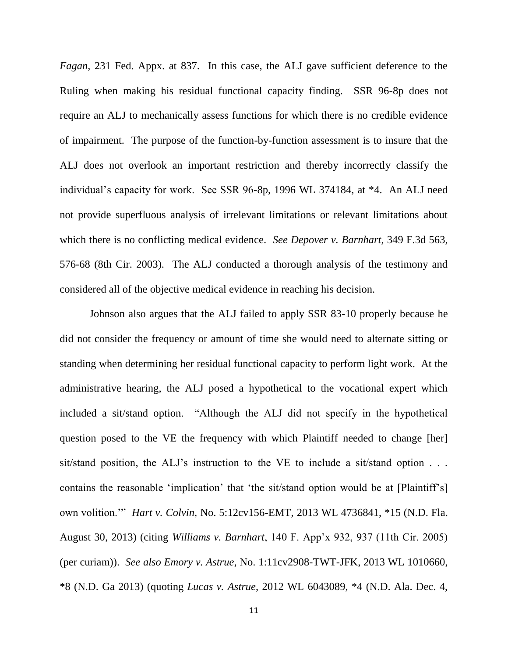*Fagan*, 231 Fed. Appx. at 837. In this case, the ALJ gave sufficient deference to the Ruling when making his residual functional capacity finding. SSR 96-8p does not require an ALJ to mechanically assess functions for which there is no credible evidence of impairment. The purpose of the function-by-function assessment is to insure that the ALJ does not overlook an important restriction and thereby incorrectly classify the individual's capacity for work. See SSR 96-8p, 1996 WL 374184, at \*4. An ALJ need not provide superfluous analysis of irrelevant limitations or relevant limitations about which there is no conflicting medical evidence. *See Depover v. Barnhart*, 349 F.3d 563, 576-68 (8th Cir. 2003). The ALJ conducted a thorough analysis of the testimony and considered all of the objective medical evidence in reaching his decision.

Johnson also argues that the ALJ failed to apply SSR 83-10 properly because he did not consider the frequency or amount of time she would need to alternate sitting or standing when determining her residual functional capacity to perform light work. At the administrative hearing, the ALJ posed a hypothetical to the vocational expert which included a sit/stand option. "Although the ALJ did not specify in the hypothetical question posed to the VE the frequency with which Plaintiff needed to change [her] sit/stand position, the ALJ's instruction to the VE to include a sit/stand option . . . contains the reasonable 'implication' that 'the sit/stand option would be at [Plaintiff's] own volition.'" *Hart v. Colvin*, No. 5:12cv156-EMT, 2013 WL 4736841, \*15 (N.D. Fla. August 30, 2013) (citing *Williams v. Barnhart*, 140 F. App'x 932, 937 (11th Cir. 2005) (per curiam)). *See also Emory v. Astrue*, No. 1:11cv2908-TWT-JFK, 2013 WL 1010660, \*8 (N.D. Ga 2013) (quoting *Lucas v. Astrue*, 2012 WL 6043089, \*4 (N.D. Ala. Dec. 4,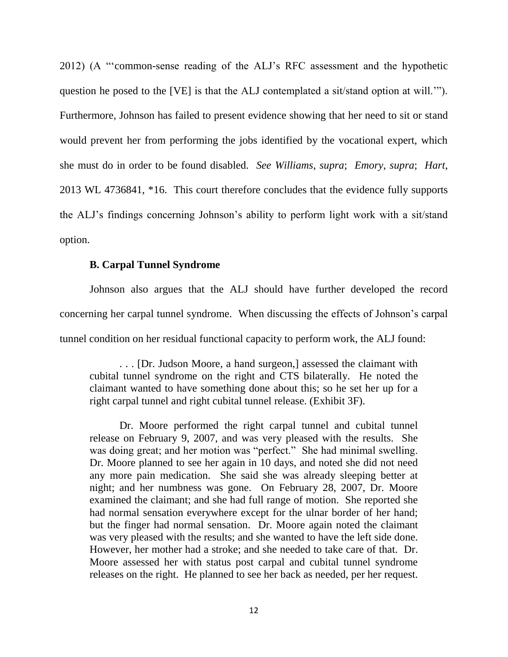2012) (A "'common-sense reading of the ALJ's RFC assessment and the hypothetic question he posed to the [VE] is that the ALJ contemplated a sit/stand option at will.'"). Furthermore, Johnson has failed to present evidence showing that her need to sit or stand would prevent her from performing the jobs identified by the vocational expert, which she must do in order to be found disabled. *See Williams*, *supra*; *Emory*, *supra*; *Hart*, 2013 WL 4736841, \*16. This court therefore concludes that the evidence fully supports the ALJ's findings concerning Johnson's ability to perform light work with a sit/stand option.

### **B. Carpal Tunnel Syndrome**

Johnson also argues that the ALJ should have further developed the record concerning her carpal tunnel syndrome. When discussing the effects of Johnson's carpal tunnel condition on her residual functional capacity to perform work, the ALJ found:

. . . [Dr. Judson Moore, a hand surgeon,] assessed the claimant with cubital tunnel syndrome on the right and CTS bilaterally. He noted the claimant wanted to have something done about this; so he set her up for a right carpal tunnel and right cubital tunnel release. (Exhibit 3F).

Dr. Moore performed the right carpal tunnel and cubital tunnel release on February 9, 2007, and was very pleased with the results. She was doing great; and her motion was "perfect." She had minimal swelling. Dr. Moore planned to see her again in 10 days, and noted she did not need any more pain medication. She said she was already sleeping better at night; and her numbness was gone. On February 28, 2007, Dr. Moore examined the claimant; and she had full range of motion. She reported she had normal sensation everywhere except for the ulnar border of her hand; but the finger had normal sensation. Dr. Moore again noted the claimant was very pleased with the results; and she wanted to have the left side done. However, her mother had a stroke; and she needed to take care of that. Dr. Moore assessed her with status post carpal and cubital tunnel syndrome releases on the right. He planned to see her back as needed, per her request.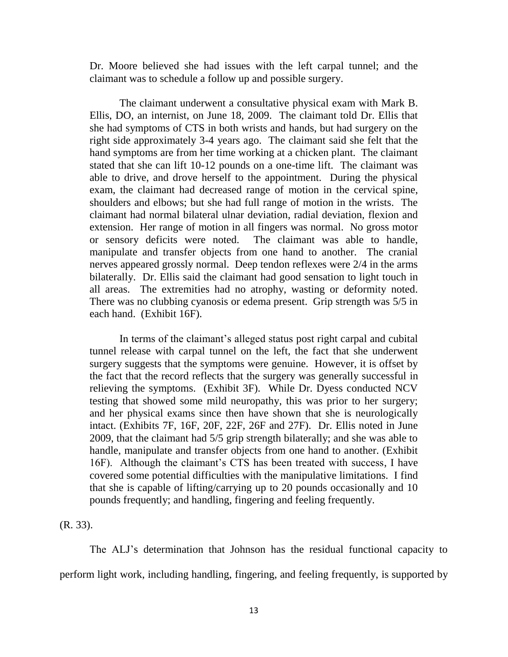Dr. Moore believed she had issues with the left carpal tunnel; and the claimant was to schedule a follow up and possible surgery.

The claimant underwent a consultative physical exam with Mark B. Ellis, DO, an internist, on June 18, 2009. The claimant told Dr. Ellis that she had symptoms of CTS in both wrists and hands, but had surgery on the right side approximately 3-4 years ago. The claimant said she felt that the hand symptoms are from her time working at a chicken plant. The claimant stated that she can lift 10-12 pounds on a one-time lift. The claimant was able to drive, and drove herself to the appointment. During the physical exam, the claimant had decreased range of motion in the cervical spine, shoulders and elbows; but she had full range of motion in the wrists. The claimant had normal bilateral ulnar deviation, radial deviation, flexion and extension. Her range of motion in all fingers was normal. No gross motor or sensory deficits were noted. The claimant was able to handle, manipulate and transfer objects from one hand to another. The cranial nerves appeared grossly normal. Deep tendon reflexes were 2/4 in the arms bilaterally. Dr. Ellis said the claimant had good sensation to light touch in all areas. The extremities had no atrophy, wasting or deformity noted. There was no clubbing cyanosis or edema present. Grip strength was 5/5 in each hand. (Exhibit 16F).

In terms of the claimant's alleged status post right carpal and cubital tunnel release with carpal tunnel on the left, the fact that she underwent surgery suggests that the symptoms were genuine. However, it is offset by the fact that the record reflects that the surgery was generally successful in relieving the symptoms. (Exhibit 3F). While Dr. Dyess conducted NCV testing that showed some mild neuropathy, this was prior to her surgery; and her physical exams since then have shown that she is neurologically intact. (Exhibits 7F, 16F, 20F, 22F, 26F and 27F). Dr. Ellis noted in June 2009, that the claimant had 5/5 grip strength bilaterally; and she was able to handle, manipulate and transfer objects from one hand to another. (Exhibit 16F). Although the claimant's CTS has been treated with success, I have covered some potential difficulties with the manipulative limitations. I find that she is capable of lifting/carrying up to 20 pounds occasionally and 10 pounds frequently; and handling, fingering and feeling frequently.

(R. 33).

The ALJ's determination that Johnson has the residual functional capacity to perform light work, including handling, fingering, and feeling frequently, is supported by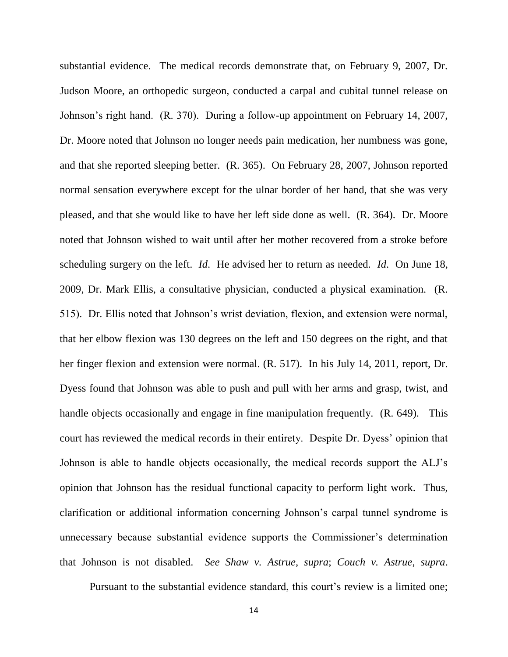substantial evidence. The medical records demonstrate that, on February 9, 2007, Dr. Judson Moore, an orthopedic surgeon, conducted a carpal and cubital tunnel release on Johnson's right hand. (R. 370). During a follow-up appointment on February 14, 2007, Dr. Moore noted that Johnson no longer needs pain medication, her numbness was gone, and that she reported sleeping better. (R. 365). On February 28, 2007, Johnson reported normal sensation everywhere except for the ulnar border of her hand, that she was very pleased, and that she would like to have her left side done as well. (R. 364). Dr. Moore noted that Johnson wished to wait until after her mother recovered from a stroke before scheduling surgery on the left. *Id*. He advised her to return as needed. *Id*. On June 18, 2009, Dr. Mark Ellis, a consultative physician, conducted a physical examination. (R. 515). Dr. Ellis noted that Johnson's wrist deviation, flexion, and extension were normal, that her elbow flexion was 130 degrees on the left and 150 degrees on the right, and that her finger flexion and extension were normal. (R. 517). In his July 14, 2011, report, Dr. Dyess found that Johnson was able to push and pull with her arms and grasp, twist, and handle objects occasionally and engage in fine manipulation frequently. (R. 649). This court has reviewed the medical records in their entirety. Despite Dr. Dyess' opinion that Johnson is able to handle objects occasionally, the medical records support the ALJ's opinion that Johnson has the residual functional capacity to perform light work. Thus, clarification or additional information concerning Johnson's carpal tunnel syndrome is unnecessary because substantial evidence supports the Commissioner's determination that Johnson is not disabled. *See Shaw v. Astrue*, *supra*; *Couch v. Astrue*, *supra*.

Pursuant to the substantial evidence standard, this court's review is a limited one;